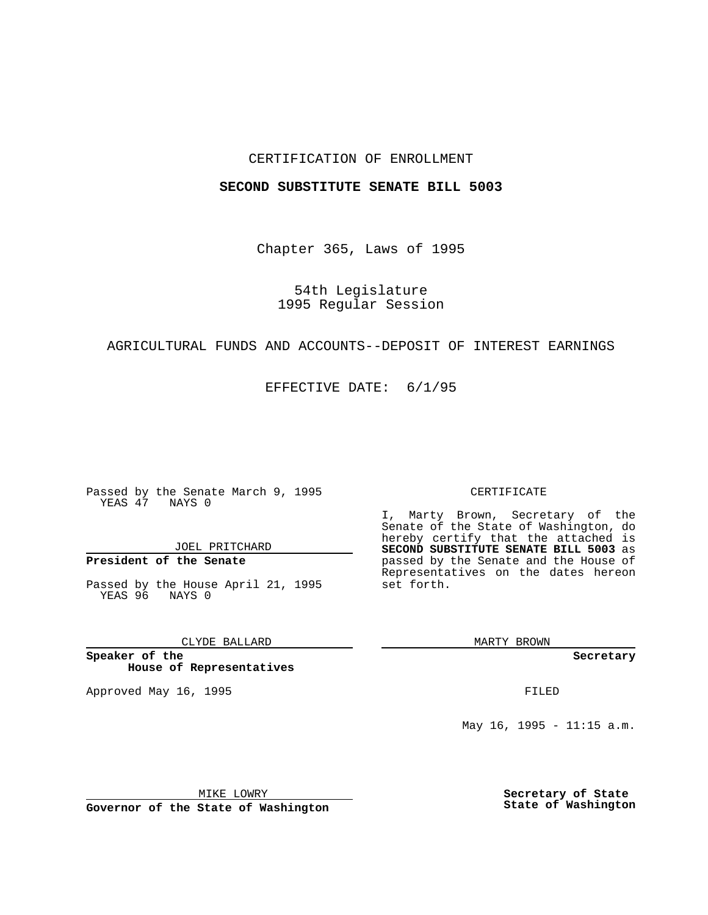## CERTIFICATION OF ENROLLMENT

#### **SECOND SUBSTITUTE SENATE BILL 5003**

Chapter 365, Laws of 1995

54th Legislature 1995 Regular Session

### AGRICULTURAL FUNDS AND ACCOUNTS--DEPOSIT OF INTEREST EARNINGS

EFFECTIVE DATE: 6/1/95

Passed by the Senate March 9, 1995 YEAS 47 NAYS 0

JOEL PRITCHARD

# **President of the Senate**

Passed by the House April 21, 1995 YEAS 96 NAYS 0

CLYDE BALLARD

**Speaker of the House of Representatives**

Approved May 16, 1995 FILED

#### CERTIFICATE

I, Marty Brown, Secretary of the Senate of the State of Washington, do hereby certify that the attached is **SECOND SUBSTITUTE SENATE BILL 5003** as passed by the Senate and the House of Representatives on the dates hereon set forth.

MARTY BROWN

**Secretary**

May 16, 1995 - 11:15 a.m.

MIKE LOWRY

**Governor of the State of Washington**

**Secretary of State State of Washington**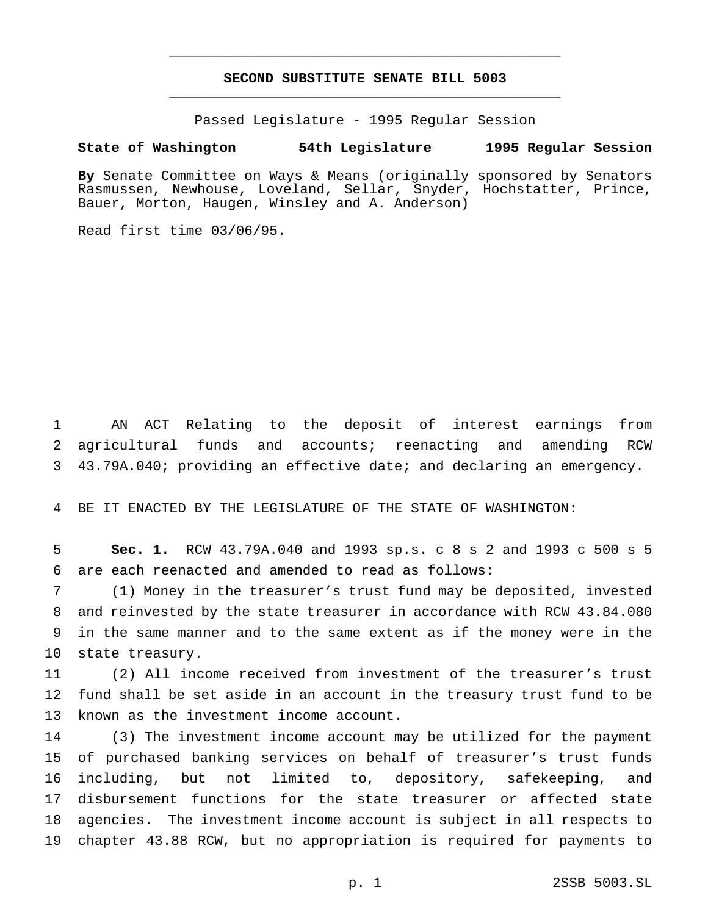## **SECOND SUBSTITUTE SENATE BILL 5003** \_\_\_\_\_\_\_\_\_\_\_\_\_\_\_\_\_\_\_\_\_\_\_\_\_\_\_\_\_\_\_\_\_\_\_\_\_\_\_\_\_\_\_\_\_\_\_

\_\_\_\_\_\_\_\_\_\_\_\_\_\_\_\_\_\_\_\_\_\_\_\_\_\_\_\_\_\_\_\_\_\_\_\_\_\_\_\_\_\_\_\_\_\_\_

Passed Legislature - 1995 Regular Session

## **State of Washington 54th Legislature 1995 Regular Session**

**By** Senate Committee on Ways & Means (originally sponsored by Senators Rasmussen, Newhouse, Loveland, Sellar, Snyder, Hochstatter, Prince, Bauer, Morton, Haugen, Winsley and A. Anderson)

Read first time 03/06/95.

 AN ACT Relating to the deposit of interest earnings from agricultural funds and accounts; reenacting and amending RCW 43.79A.040; providing an effective date; and declaring an emergency.

BE IT ENACTED BY THE LEGISLATURE OF THE STATE OF WASHINGTON:

 **Sec. 1.** RCW 43.79A.040 and 1993 sp.s. c 8 s 2 and 1993 c 500 s 5 are each reenacted and amended to read as follows:

 (1) Money in the treasurer's trust fund may be deposited, invested and reinvested by the state treasurer in accordance with RCW 43.84.080 in the same manner and to the same extent as if the money were in the state treasury.

 (2) All income received from investment of the treasurer's trust fund shall be set aside in an account in the treasury trust fund to be known as the investment income account.

 (3) The investment income account may be utilized for the payment of purchased banking services on behalf of treasurer's trust funds including, but not limited to, depository, safekeeping, and disbursement functions for the state treasurer or affected state agencies. The investment income account is subject in all respects to chapter 43.88 RCW, but no appropriation is required for payments to